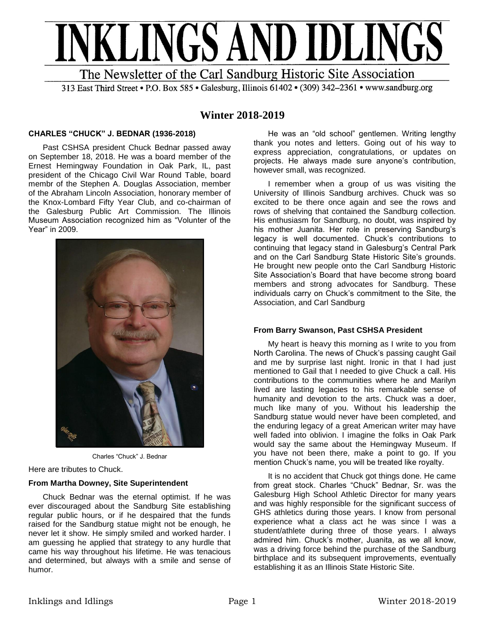

313 East Third Street • P.O. Box 585 • Galesburg, Illinois 61402 • (309) 342-2361 • www.sandburg.org

# **Winter 2018-2019**

## **CHARLES "CHUCK" J. BEDNAR (1936-2018)**

Past CSHSA president Chuck Bednar passed away on September 18, 2018. He was a board member of the Ernest Hemingway Foundation in Oak Park, IL, past president of the Chicago Civil War Round Table, board membr of the Stephen A. Douglas Association, member of the Abraham Lincoln Association, honorary member of the Knox-Lombard Fifty Year Club, and co-chairman of the Galesburg Public Art Commission. The Illinois Museum Association recognized him as "Volunter of the Year" in 2009.



Charles "Chuck" J. Bednar

Here are tributes to Chuck.

## **From Martha Downey, Site Superintendent**

Chuck Bednar was the eternal optimist. If he was ever discouraged about the Sandburg Site establishing regular public hours, or if he despaired that the funds raised for the Sandburg statue might not be enough, he never let it show. He simply smiled and worked harder. I am guessing he applied that strategy to any hurdle that came his way throughout his lifetime. He was tenacious and determined, but always with a smile and sense of humor.

He was an "old school" gentlemen. Writing lengthy thank you notes and letters. Going out of his way to express appreciation, congratulations, or updates on projects. He always made sure anyone's contribution, however small, was recognized.

I remember when a group of us was visiting the University of Illinois Sandburg archives. Chuck was so excited to be there once again and see the rows and rows of shelving that contained the Sandburg collection. His enthusiasm for Sandburg, no doubt, was inspired by his mother Juanita. Her role in preserving Sandburg's legacy is well documented. Chuck's contributions to continuing that legacy stand in Galesburg's Central Park and on the Carl Sandburg State Historic Site's grounds. He brought new people onto the Carl Sandburg Historic Site Association's Board that have become strong board members and strong advocates for Sandburg. These individuals carry on Chuck's commitment to the Site, the Association, and Carl Sandburg

## **From Barry Swanson, Past CSHSA President**

My heart is heavy this morning as I write to you from North Carolina. The news of Chuck's passing caught Gail and me by surprise last night. Ironic in that I had just mentioned to Gail that I needed to give Chuck a call. His contributions to the communities where he and Marilyn lived are lasting legacies to his remarkable sense of humanity and devotion to the arts. Chuck was a doer, much like many of you. Without his leadership the Sandburg statue would never have been completed, and the enduring legacy of a great American writer may have well faded into oblivion. I imagine the folks in Oak Park would say the same about the Hemingway Museum. If you have not been there, make a point to go. If you mention Chuck's name, you will be treated like royalty.

It is no accident that Chuck got things done. He came from great stock. Charles "Chuck" Bednar, Sr. was the Galesburg High School Athletic Director for many years and was highly responsible for the significant success of GHS athletics during those years. I know from personal experience what a class act he was since I was a student/athlete during three of those years. I always admired him. Chuck's mother, Juanita, as we all know, was a driving force behind the purchase of the Sandburg birthplace and its subsequent improvements, eventually establishing it as an Illinois State Historic Site.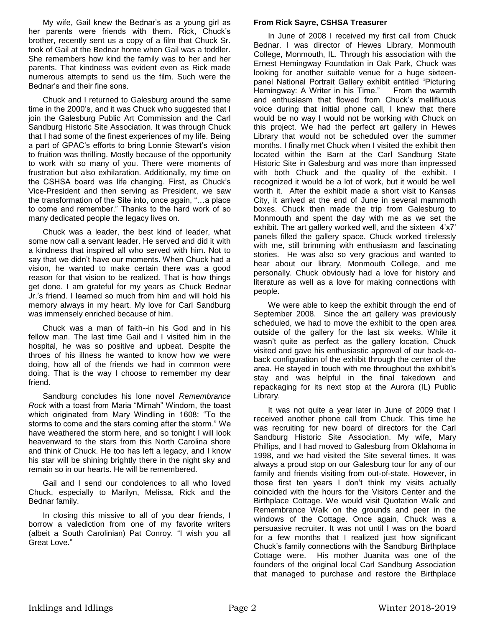My wife, Gail knew the Bednar's as a young girl as her parents were friends with them. Rick, Chuck's brother, recently sent us a copy of a film that Chuck Sr. took of Gail at the Bednar home when Gail was a toddler. She remembers how kind the family was to her and her parents. That kindness was evident even as Rick made numerous attempts to send us the film. Such were the Bednar's and their fine sons.

Chuck and I returned to Galesburg around the same time in the 2000's, and it was Chuck who suggested that I join the Galesburg Public Art Commission and the Carl Sandburg Historic Site Association. It was through Chuck that I had some of the finest experiences of my life. Being a part of GPAC's efforts to bring Lonnie Stewart's vision to fruition was thrilling. Mostly because of the opportunity to work with so many of you. There were moments of frustration but also exhilaration. Additionally, my time on the CSHSA board was life changing. First, as Chuck's Vice-President and then serving as President, we saw the transformation of the Site into, once again, "…a place to come and remember." Thanks to the hard work of so many dedicated people the legacy lives on.

Chuck was a leader, the best kind of leader, what some now call a servant leader. He served and did it with a kindness that inspired all who served with him. Not to say that we didn't have our moments. When Chuck had a vision, he wanted to make certain there was a good reason for that vision to be realized. That is how things get done. I am grateful for my years as Chuck Bednar Jr.'s friend. I learned so much from him and will hold his memory always in my heart. My love for Carl Sandburg was immensely enriched because of him.

Chuck was a man of faith--in his God and in his fellow man. The last time Gail and I visited him in the hospital, he was so positive and upbeat. Despite the throes of his illness he wanted to know how we were doing, how all of the friends we had in common were doing. That is the way I choose to remember my dear friend.

Sandburg concludes his lone novel *Remembrance Rock* with a toast from Maria "Mimah" Windom, the toast which originated from Mary Windling in 1608: "To the storms to come and the stars coming after the storm." We have weathered the storm here, and so tonight I will look heavenward to the stars from this North Carolina shore and think of Chuck. He too has left a legacy, and I know his star will be shining brightly there in the night sky and remain so in our hearts. He will be remembered.

Gail and I send our condolences to all who loved Chuck, especially to Marilyn, Melissa, Rick and the Bednar family.

In closing this missive to all of you dear friends, I borrow a valediction from one of my favorite writers (albeit a South Carolinian) Pat Conroy. "I wish you all Great Love."

## **From Rick Sayre, CSHSA Treasurer**

In June of 2008 I received my first call from Chuck Bednar. I was director of Hewes Library, Monmouth College, Monmouth, IL. Through his association with the Ernest Hemingway Foundation in Oak Park, Chuck was looking for another suitable venue for a huge sixteenpanel National Portrait Gallery exhibit entitled "Picturing Hemingway: A Writer in his Time." From the warmth and enthusiasm that flowed from Chuck's mellifluous voice during that initial phone call, I knew that there would be no way I would not be working with Chuck on this project. We had the perfect art gallery in Hewes Library that would not be scheduled over the summer months. I finally met Chuck when I visited the exhibit then located within the Barn at the Carl Sandburg State Historic Site in Galesburg and was more than impressed with both Chuck and the quality of the exhibit. I recognized it would be a lot of work, but it would be well worth it. After the exhibit made a short visit to Kansas City, it arrived at the end of June in several mammoth boxes. Chuck then made the trip from Galesburg to Monmouth and spent the day with me as we set the exhibit. The art gallery worked well, and the sixteen 4'x7' panels filled the gallery space. Chuck worked tirelessly with me, still brimming with enthusiasm and fascinating stories. He was also so very gracious and wanted to hear about our library, Monmouth College, and me personally. Chuck obviously had a love for history and literature as well as a love for making connections with people.

We were able to keep the exhibit through the end of September 2008. Since the art gallery was previously scheduled, we had to move the exhibit to the open area outside of the gallery for the last six weeks. While it wasn't quite as perfect as the gallery location, Chuck visited and gave his enthusiastic approval of our back-toback configuration of the exhibit through the center of the area. He stayed in touch with me throughout the exhibit's stay and was helpful in the final takedown and repackaging for its next stop at the Aurora (IL) Public Library.

It was not quite a year later in June of 2009 that I received another phone call from Chuck. This time he was recruiting for new board of directors for the Carl Sandburg Historic Site Association. My wife, Mary Phillips, and I had moved to Galesburg from Oklahoma in 1998, and we had visited the Site several times. It was always a proud stop on our Galesburg tour for any of our family and friends visiting from out-of-state. However, in those first ten years I don't think my visits actually coincided with the hours for the Visitors Center and the Birthplace Cottage. We would visit Quotation Walk and Remembrance Walk on the grounds and peer in the windows of the Cottage. Once again, Chuck was a persuasive recruiter. It was not until I was on the board for a few months that I realized just how significant Chuck's family connections with the Sandburg Birthplace Cottage were. His mother Juanita was one of the founders of the original local Carl Sandburg Association that managed to purchase and restore the Birthplace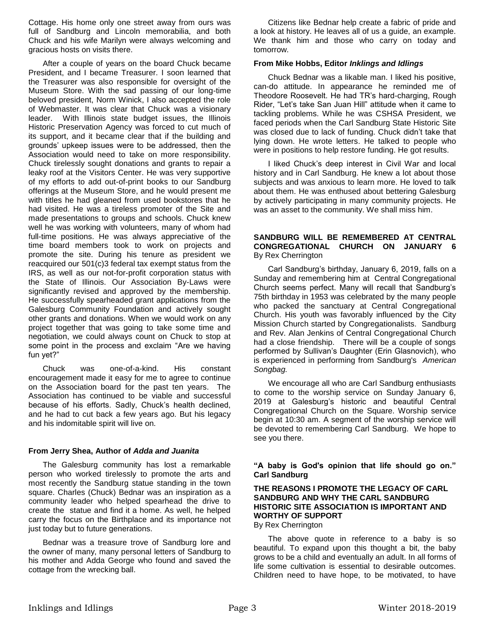Cottage. His home only one street away from ours was full of Sandburg and Lincoln memorabilia, and both Chuck and his wife Marilyn were always welcoming and gracious hosts on visits there.

After a couple of years on the board Chuck became President, and I became Treasurer. I soon learned that the Treasurer was also responsible for oversight of the Museum Store. With the sad passing of our long-time beloved president, Norm Winick, I also accepted the role of Webmaster. It was clear that Chuck was a visionary leader. With Illinois state budget issues, the Illinois Historic Preservation Agency was forced to cut much of its support, and it became clear that if the building and grounds' upkeep issues were to be addressed, then the Association would need to take on more responsibility. Chuck tirelessly sought donations and grants to repair a leaky roof at the Visitors Center. He was very supportive of my efforts to add out-of-print books to our Sandburg offerings at the Museum Store, and he would present me with titles he had gleaned from used bookstores that he had visited. He was a tireless promoter of the Site and made presentations to groups and schools. Chuck knew well he was working with volunteers, many of whom had full-time positions. He was always appreciative of the time board members took to work on projects and promote the site. During his tenure as president we reacquired our 501(c)3 federal tax exempt status from the IRS, as well as our not-for-profit corporation status with the State of Illinois. Our Association By-Laws were significantly revised and approved by the membership. He successfully spearheaded grant applications from the Galesburg Community Foundation and actively sought other grants and donations. When we would work on any project together that was going to take some time and negotiation, we could always count on Chuck to stop at some point in the process and exclaim "Are we having fun yet?"

Chuck was one-of-a-kind. His constant encouragement made it easy for me to agree to continue on the Association board for the past ten years. The Association has continued to be viable and successful because of his efforts. Sadly, Chuck's health declined, and he had to cut back a few years ago. But his legacy and his indomitable spirit will live on.

## **From Jerry Shea, Author of** *Adda and Juanita*

The Galesburg community has lost a remarkable person who worked tirelessly to promote the arts and most recently the Sandburg statue standing in the town square. Charles (Chuck) Bednar was an inspiration as a community leader who helped spearhead the drive to create the statue and find it a home. As well, he helped carry the focus on the Birthplace and its importance not just today but to future generations.

Bednar was a treasure trove of Sandburg lore and the owner of many, many personal letters of Sandburg to his mother and Adda George who found and saved the cottage from the wrecking ball.

Citizens like Bednar help create a fabric of pride and a look at history. He leaves all of us a guide, an example. We thank him and those who carry on today and tomorrow.

## **From Mike Hobbs, Editor** *Inklings and Idlings*

Chuck Bednar was a likable man. I liked his positive, can-do attitude. In appearance he reminded me of Theodore Roosevelt. He had TR's hard-charging, Rough Rider, "Let's take San Juan Hill" attitude when it came to tackling problems. While he was CSHSA President, we faced periods when the Carl Sandburg State Historic Site was closed due to lack of funding. Chuck didn't take that lying down. He wrote letters. He talked to people who were in positions to help restore funding. He got results.

I liked Chuck's deep interest in Civil War and local history and in Carl Sandburg. He knew a lot about those subjects and was anxious to learn more. He loved to talk about them. He was enthused about bettering Galesburg by actively participating in many community projects. He was an asset to the community. We shall miss him.

## **SANDBURG WILL BE REMEMBERED AT CENTRAL CONGREGATIONAL CHURCH ON JANUARY 6**  By Rex Cherrington

Carl Sandburg's birthday, January 6, 2019, falls on a Sunday and remembering him at Central Congregational Church seems perfect. Many will recall that Sandburg's 75th birthday in 1953 was celebrated by the many people who packed the sanctuary at Central Congregational Church. His youth was favorably influenced by the City Mission Church started by Congregationalists. Sandburg and Rev. Alan Jenkins of Central Congregational Church had a close friendship. There will be a couple of songs performed by Sullivan's Daughter (Erin Glasnovich), who is experienced in performing from Sandburg's *American Songbag.* 

We encourage all who are Carl Sandburg enthusiasts to come to the worship service on Sunday January 6, 2019 at Galesburg's historic and beautiful Central Congregational Church on the Square. Worship service begin at 10:30 am. A segment of the worship service will be devoted to remembering Carl Sandburg. We hope to see you there.

## **"A baby is God's opinion that life should go on." Carl Sandburg**

## **THE REASONS I PROMOTE THE LEGACY OF CARL SANDBURG AND WHY THE CARL SANDBURG HISTORIC SITE ASSOCIATION IS IMPORTANT AND WORTHY OF SUPPORT**

By Rex Cherrington

The above quote in reference to a baby is so beautiful. To expand upon this thought a bit, the baby grows to be a child and eventually an adult. In all forms of life some cultivation is essential to desirable outcomes. Children need to have hope, to be motivated, to have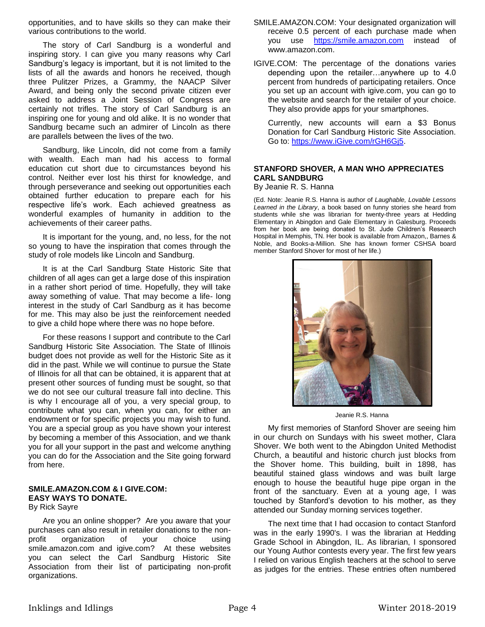opportunities, and to have skills so they can make their various contributions to the world.

The story of Carl Sandburg is a wonderful and inspiring story. I can give you many reasons why Carl Sandburg's legacy is important, but it is not limited to the lists of all the awards and honors he received, though three Pulitzer Prizes, a Grammy, the NAACP Silver Award, and being only the second private citizen ever asked to address a Joint Session of Congress are certainly not trifles. The story of Carl Sandburg is an inspiring one for young and old alike. It is no wonder that Sandburg became such an admirer of Lincoln as there are parallels between the lives of the two.

Sandburg, like Lincoln, did not come from a family with wealth. Each man had his access to formal education cut short due to circumstances beyond his control. Neither ever lost his thirst for knowledge, and through perseverance and seeking out opportunities each obtained further education to prepare each for his respective life's work. Each achieved greatness as wonderful examples of humanity in addition to the achievements of their career paths.

It is important for the young, and, no less, for the not so young to have the inspiration that comes through the study of role models like Lincoln and Sandburg.

It is at the Carl Sandburg State Historic Site that children of all ages can get a large dose of this inspiration in a rather short period of time. Hopefully, they will take away something of value. That may become a life- long interest in the study of Carl Sandburg as it has become for me. This may also be just the reinforcement needed to give a child hope where there was no hope before.

For these reasons I support and contribute to the Carl Sandburg Historic Site Association. The State of Illinois budget does not provide as well for the Historic Site as it did in the past. While we will continue to pursue the State of Illinois for all that can be obtained, it is apparent that at present other sources of funding must be sought, so that we do not see our cultural treasure fall into decline. This is why I encourage all of you, a very special group, to contribute what you can, when you can, for either an endowment or for specific projects you may wish to fund. You are a special group as you have shown your interest by becoming a member of this Association, and we thank you for all your support in the past and welcome anything you can do for the Association and the Site going forward from here.

## **SMILE.AMAZON.COM & I GIVE.COM: EASY WAYS TO DONATE.**

By Rick Sayre

Are you an online shopper? Are you aware that your purchases can also result in retailer donations to the nonprofit organization of your choice using smile.amazon.com and igive.com? At these websites you can select the Carl Sandburg Historic Site Association from their list of participating non-profit organizations.

- SMILE.AMAZON.COM: Your designated organization will receive 0.5 percent of each purchase made when you use [https://smile.amazon.com](https://smile.amazon.com/) instead of www.amazon.com.
- IGIVE.COM: The percentage of the donations varies depending upon the retailer…anywhere up to 4.0 percent from hundreds of participating retailers. Once you set up an account with igive.com, you can go to the website and search for the retailer of your choice. They also provide apps for your smartphones.

Currently, new accounts will earn a \$3 Bonus Donation for Carl Sandburg Historic Site Association. Go to: [https://www.iGive.com/rGH6Gj5.](https://www.igive.com/rGH6Gj5)

## **STANFORD SHOVER, A MAN WHO APPRECIATES CARL SANDBURG**

By Jeanie R. S. Hanna

(Ed. Note: Jeanie R.S. Hanna is author of *Laughable, Lovable Lessons Learned in the Library*, a book based on funny stories she heard from students while she was librarian for twenty-three years at Hedding Elementary in Abingdon and Gale Elementary in Galesburg. Proceeds from her book are being donated to St. Jude Children's Research Hospital in Memphis, TN. Her book is available from Amazon,, Barnes & Noble, and Books-a-Million. She has known former CSHSA board member Stanford Shover for most of her life.)



Jeanie R.S. Hanna

My first memories of Stanford Shover are seeing him in our church on Sundays with his sweet mother, Clara Shover. We both went to the Abingdon United Methodist Church, a beautiful and historic church just blocks from the Shover home. This building, built in 1898, has beautiful stained glass windows and was built large enough to house the beautiful huge pipe organ in the front of the sanctuary. Even at a young age, I was touched by Stanford's devotion to his mother, as they attended our Sunday morning services together.

The next time that I had occasion to contact Stanford was in the early 1990's. I was the librarian at Hedding Grade School in Abingdon, IL. As librarian, I sponsored our Young Author contests every year. The first few years I relied on various English teachers at the school to serve as judges for the entries. These entries often numbered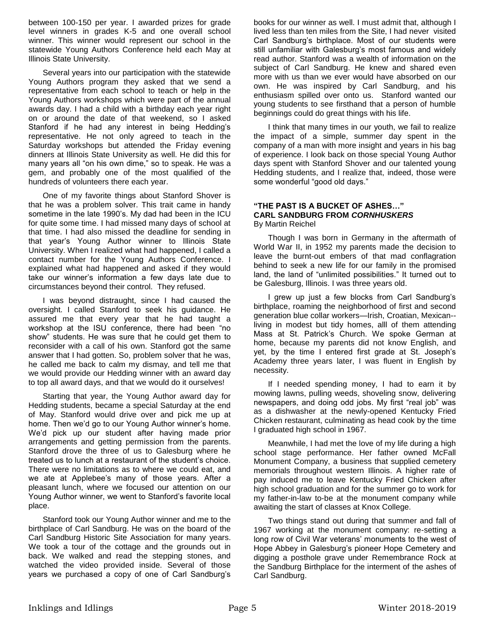between 100-150 per year. I awarded prizes for grade level winners in grades K-5 and one overall school winner. This winner would represent our school in the statewide Young Authors Conference held each May at Illinois State University.

Several years into our participation with the statewide Young Authors program they asked that we send a representative from each school to teach or help in the Young Authors workshops which were part of the annual awards day. I had a child with a birthday each year right on or around the date of that weekend, so I asked Stanford if he had any interest in being Hedding's representative. He not only agreed to teach in the Saturday workshops but attended the Friday evening dinners at Illinois State University as well. He did this for many years all "on his own dime," so to speak. He was a gem, and probably one of the most qualified of the hundreds of volunteers there each year.

One of my favorite things about Stanford Shover is that he was a problem solver. This trait came in handy sometime in the late 1990's. My dad had been in the ICU for quite some time. I had missed many days of school at that time. I had also missed the deadline for sending in that year's Young Author winner to Illinois State University. When I realized what had happened, I called a contact number for the Young Authors Conference. I explained what had happened and asked if they would take our winner's information a few days late due to circumstances beyond their control. They refused.

I was beyond distraught, since I had caused the oversight. I called Stanford to seek his guidance. He assured me that every year that he had taught a workshop at the ISU conference, there had been "no show" students. He was sure that he could get them to reconsider with a call of his own. Stanford got the same answer that I had gotten. So, problem solver that he was, he called me back to calm my dismay, and tell me that we would provide our Hedding winner with an award day to top all award days, and that we would do it ourselves!

Starting that year, the Young Author award day for Hedding students, became a special Saturday at the end of May. Stanford would drive over and pick me up at home. Then we'd go to our Young Author winner's home. We'd pick up our student after having made prior arrangements and getting permission from the parents. Stanford drove the three of us to Galesburg where he treated us to lunch at a restaurant of the student's choice. There were no limitations as to where we could eat, and we ate at Applebee's many of those years. After a pleasant lunch, where we focused our attention on our Young Author winner, we went to Stanford's favorite local place.

Stanford took our Young Author winner and me to the birthplace of Carl Sandburg. He was on the board of the Carl Sandburg Historic Site Association for many years. We took a tour of the cottage and the grounds out in back. We walked and read the stepping stones, and watched the video provided inside. Several of those years we purchased a copy of one of Carl Sandburg's

books for our winner as well. I must admit that, although I lived less than ten miles from the Site, I had never visited Carl Sandburg's birthplace. Most of our students were still unfamiliar with Galesburg's most famous and widely read author. Stanford was a wealth of information on the subject of Carl Sandburg. He knew and shared even more with us than we ever would have absorbed on our own. He was inspired by Carl Sandburg, and his enthusiasm spilled over onto us. Stanford wanted our young students to see firsthand that a person of humble beginnings could do great things with his life.

I think that many times in our youth, we fail to realize the impact of a simple, summer day spent in the company of a man with more insight and years in his bag of experience. I look back on those special Young Author days spent with Stanford Shover and our talented young Hedding students, and I realize that, indeed, those were some wonderful "good old days."

#### **"THE PAST IS A BUCKET OF ASHES…" CARL SANDBURG FROM** *CORNHUSKERS* By Martin Reichel

Though I was born in Germany in the aftermath of World War II, in 1952 my parents made the decision to leave the burnt-out embers of that mad conflagration behind to seek a new life for our family in the promised land, the land of "unlimited possibilities." It turned out to be Galesburg, Illinois. I was three years old.

I grew up just a few blocks from Carl Sandburg's birthplace, roaming the neighborhood of first and second generation blue collar workers—Irish, Croatian, Mexican- living in modest but tidy homes, alll of them attending Mass at St. Patrick's Church. We spoke German at home, because my parents did not know English, and yet, by the time I entered first grade at St. Joseph's Academy three years later, I was fluent in English by necessity.

If I needed spending money, I had to earn it by mowing lawns, pulling weeds, shoveling snow, delivering newspapers, and doing odd jobs. My first "real job" was as a dishwasher at the newly-opened Kentucky Fried Chicken restaurant, culminating as head cook by the time I graduated high school in 1967.

Meanwhile, I had met the love of my life during a high school stage performance. Her father owned McFall Monument Company, a business that supplied cemetery memorials throughout western Illinois. A higher rate of pay induced me to leave Kentucky Fried Chicken after high school graduation and for the summer go to work for my father-in-law to-be at the monument company while awaiting the start of classes at Knox College.

Two things stand out during that summer and fall of 1967 working at the monument company: re-setting a long row of Civil War veterans' monuments to the west of Hope Abbey in Galesburg's pioneer Hope Cemetery and digging a posthole grave under Remembrance Rock at the Sandburg Birthplace for the interment of the ashes of Carl Sandburg.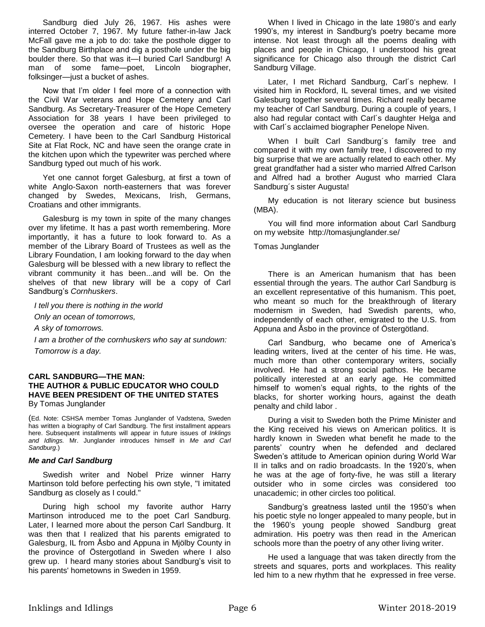Sandburg died July 26, 1967. His ashes were interred October 7, 1967. My future father-in-law Jack McFall gave me a job to do: take the posthole digger to the Sandburg Birthplace and dig a posthole under the big boulder there. So that was it—I buried Carl Sandburg! A man of some fame—poet, Lincoln biographer, folksinger—just a bucket of ashes.

Now that I'm older I feel more of a connection with the Civil War veterans and Hope Cemetery and Carl Sandburg. As Secretary-Treasurer of the Hope Cemetery Association for 38 years I have been privileged to oversee the operation and care of historic Hope Cemetery. I have been to the Carl Sandburg Historical Site at Flat Rock, NC and have seen the orange crate in the kitchen upon which the typewriter was perched where Sandburg typed out much of his work.

Yet one cannot forget Galesburg, at first a town of white Anglo-Saxon north-easterners that was forever changed by Swedes, Mexicans, Irish, Germans, Croatians and other immigrants.

Galesburg is my town in spite of the many changes over my lifetime. It has a past worth remembering. More importantly, it has a future to look forward to. As a member of the Library Board of Trustees as well as the Library Foundation, I am looking forward to the day when Galesburg will be blessed with a new library to reflect the vibrant community it has been...and will be. On the shelves of that new library will be a copy of Carl Sandburg's *Cornhuskers*.

*I tell you there is nothing in the world*

*Only an ocean of tomorrows,*

*A sky of tomorrows.*

*I am a brother of the cornhuskers who say at sundown: Tomorrow is a day.*

#### **CARL SANDBURG—THE MAN: THE AUTHOR & PUBLIC EDUCATOR WHO COULD HAVE BEEN PRESIDENT OF THE UNITED STATES** By Tomas Junglander

(Ed. Note: CSHSA member Tomas Junglander of Vadstena, Sweden has written a biography of Carl Sandburg. The first installment appears here. Subsequent installments will appear in future issues of *Inklings and Idlings.* Mr. Junglander introduces himself in *Me and Carl Sandburg*.)

## *Me and Carl Sandburg*

Swedish writer and Nobel Prize winner Harry Martinson told before perfecting his own style, "I imitated Sandburg as closely as I could."

During high school my favorite author Harry Martinson introduced me to the poet Carl Sandburg. Later, I learned more about the person Carl Sandburg. It was then that I realized that his parents emigrated to Galesburg, IL from Åsbo and Appuna in Mjölby County in the province of Östergotland in Sweden where I also grew up. I heard many stories about Sandburg's visit to his parents' hometowns in Sweden in 1959.

When I lived in Chicago in the late 1980's and early 1990's, my interest in Sandburg's poetry became more intense. Not least through all the poems dealing with places and people in Chicago, I understood his great significance for Chicago also through the district Carl Sandburg Village.

Later, I met Richard Sandburg, Carl´s nephew. I visited him in Rockford, IL several times, and we visited Galesburg together several times. Richard really became my teacher of Carl Sandburg. During a couple of years, I also had regular contact with Carl´s daughter Helga and with Carl´s acclaimed biographer Penelope Niven.

When I built Carl Sandburg's family tree and compared it with my own family tree, I discovered to my big surprise that we are actually related to each other. My great grandfather had a sister who married Alfred Carlson and Alfred had a brother August who married Clara Sandburg´s sister Augusta!

My education is not literary science but business (MBA).

You will find more information about Carl Sandburg on my website http://tomasjunglander.se/

#### Tomas Junglander

There is an American humanism that has been essential through the years. The author Carl Sandburg is an excellent representative of this humanism. This poet, who meant so much for the breakthrough of literary modernism in Sweden, had Swedish parents, who, independently of each other, emigrated to the U.S. from Appuna and Åsbo in the province of Östergötland.

Carl Sandburg, who became one of America's leading writers, lived at the center of his time. He was, much more than other contemporary writers, socially involved. He had a strong social pathos. He became politically interested at an early age. He committed himself to women's equal rights, to the rights of the blacks, for shorter working hours, against the death penalty and child labor .

During a visit to Sweden both the Prime Minister and the King received his views on American politics. It is hardly known in Sweden what benefit he made to the parents' country when he defended and declared Sweden's attitude to American opinion during World War II in talks and on radio broadcasts. In the 1920's, when he was at the age of forty-five, he was still a literary outsider who in some circles was considered too unacademic; in other circles too political.

Sandburg's greatness lasted until the 1950's when his poetic style no longer appealed to many people, but in the 1960's young people showed Sandburg great admiration. His poetry was then read in the American schools more than the poetry of any other living writer.

He used a language that was taken directly from the streets and squares, ports and workplaces. This reality led him to a new rhythm that he expressed in free verse.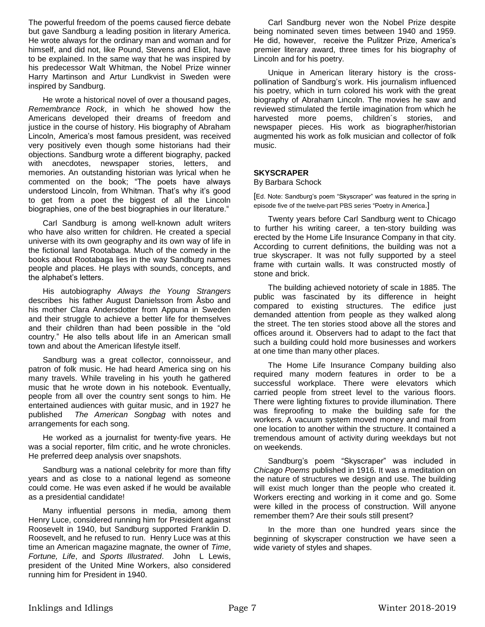The powerful freedom of the poems caused fierce debate but gave Sandburg a leading position in literary America. He wrote always for the ordinary man and woman and for himself, and did not, like Pound, Stevens and Eliot, have to be explained. In the same way that he was inspired by his predecessor Walt Whitman, the Nobel Prize winner Harry Martinson and Artur Lundkvist in Sweden were inspired by Sandburg.

He wrote a historical novel of over a thousand pages, *Remembrance Rock*, in which he showed how the Americans developed their dreams of freedom and justice in the course of history. His biography of Abraham Lincoln, America's most famous president, was received very positively even though some historians had their objections. Sandburg wrote a different biography, packed with anecdotes, newspaper stories, letters, and memories. An outstanding historian was lyrical when he commented on the book; "The poets have always understood Lincoln, from Whitman. That's why it's good to get from a poet the biggest of all the Lincoln biographies, one of the best biographies in our literature."

Carl Sandburg is among well-known adult writers who have also written for children. He created a special universe with its own geography and its own way of life in the fictional land Rootabaga. Much of the comedy in the books about Rootabaga lies in the way Sandburg names people and places. He plays with sounds, concepts, and the alphabet's letters.

His autobiography *Always the Young Strangers* describes his father August Danielsson from Åsbo and his mother Clara Andersdotter from Appuna in Sweden and their struggle to achieve a better life for themselves and their children than had been possible in the "old country." He also tells about life in an American small town and about the American lifestyle itself.

Sandburg was a great collector, connoisseur, and patron of folk music. He had heard America sing on his many travels. While traveling in his youth he gathered music that he wrote down in his notebook. Eventually, people from all over the country sent songs to him. He entertained audiences with guitar music, and in 1927 he published *The American Songbag* with notes and arrangements for each song.

He worked as a journalist for twenty-five years. He was a social reporter, film critic, and he wrote chronicles. He preferred deep analysis over snapshots.

Sandburg was a national celebrity for more than fifty years and as close to a national legend as someone could come. He was even asked if he would be available as a presidential candidate!

Many influential persons in media, among them Henry Luce, considered running him for President against Roosevelt in 1940, but Sandburg supported Franklin D. Roosevelt, and he refused to run. Henry Luce was at this time an American magazine magnate, the owner of *Time*, *Fortune, Life*, and *Sports Illustrated*. John L Lewis, president of the United Mine Workers, also considered running him for President in 1940.

Carl Sandburg never won the Nobel Prize despite being nominated seven times between 1940 and 1959. He did, however, receive the Pulitzer Prize, America's premier literary award, three times for his biography of Lincoln and for his poetry.

Unique in American literary history is the crosspollination of Sandburg's work. His journalism influenced his poetry, which in turn colored his work with the great biography of Abraham Lincoln. The movies he saw and reviewed stimulated the fertile imagination from which he harvested more poems, children´s stories, and newspaper pieces. His work as biographer/historian augmented his work as folk musician and collector of folk music.

## **SKYSCRAPER**

By Barbara Schock

[Ed. Note: Sandburg's poem "Skyscraper" was featured in the spring in episode five of the twelve-part PBS series "Poetry in America.]

Twenty years before Carl Sandburg went to Chicago to further his writing career, a ten-story building was erected by the Home Life Insurance Company in that city. According to current definitions, the building was not a true skyscraper. It was not fully supported by a steel frame with curtain walls. It was constructed mostly of stone and brick.

The building achieved notoriety of scale in 1885. The public was fascinated by its difference in height compared to existing structures. The edifice just demanded attention from people as they walked along the street. The ten stories stood above all the stores and offices around it. Observers had to adapt to the fact that such a building could hold more businesses and workers at one time than many other places.

The Home Life Insurance Company building also required many modern features in order to be a successful workplace. There were elevators which carried people from street level to the various floors. There were lighting fixtures to provide illumination. There was fireproofing to make the building safe for the workers. A vacuum system moved money and mail from one location to another within the structure. It contained a tremendous amount of activity during weekdays but not on weekends.

Sandburg's poem "Skyscraper" was included in *Chicago Poems* published in 1916. It was a meditation on the nature of structures we design and use. The building will exist much longer than the people who created it. Workers erecting and working in it come and go. Some were killed in the process of construction. Will anyone remember them? Are their souls still present?

In the more than one hundred years since the beginning of skyscraper construction we have seen a wide variety of styles and shapes.